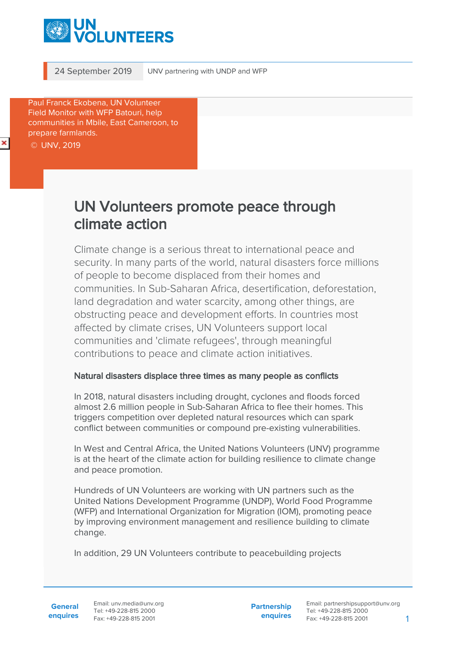

24 September 2019 UNV partnering with UNDP and WFP

Paul Franck Ekobena, UN Volunteer Field Monitor with WFP Batouri, help communities in Mbile, East Cameroon, to prepare farmlands. © UNV, 2019

## UN Volunteers promote peace through climate action

Climate change is a serious threat to international peace and security. In many parts of the world, natural disasters force millions of people to become displaced from their homes and communities. In Sub-Saharan Africa, desertification, deforestation, land degradation and water scarcity, among other things, are obstructing peace and development efforts. In countries most affected by climate crises, UN Volunteers support local communities and 'climate refugees', through meaningful contributions to peace and climate action initiatives.

## Natural disasters displace three times as many people as conflicts

In 2018, natural disasters including drought, cyclones and floods forced almost 2.6 million people in Sub-Saharan Africa to flee their homes. This triggers competition over depleted natural resources which can spark conflict between communities or compound pre-existing vulnerabilities.

In West and Central Africa, the United Nations Volunteers (UNV) programme is at the heart of the climate action for building resilience to climate change and peace promotion.

Hundreds of UN Volunteers are working with UN partners such as the United Nations Development Programme (UNDP), World Food Programme (WFP) and International Organization for Migration (IOM), promoting peace by improving environment management and resilience building to climate change.

In addition, 29 UN Volunteers contribute to peacebuilding projects

**General enquires** Email: unv.media@unv.org Tel: +49-228-815 2000 Fax: +49-228-815 2001

**Partnership enquires** Email: partnershipsupport@unv.org Tel: +49-228-815 2000 Fax: +49-228-815 2001 1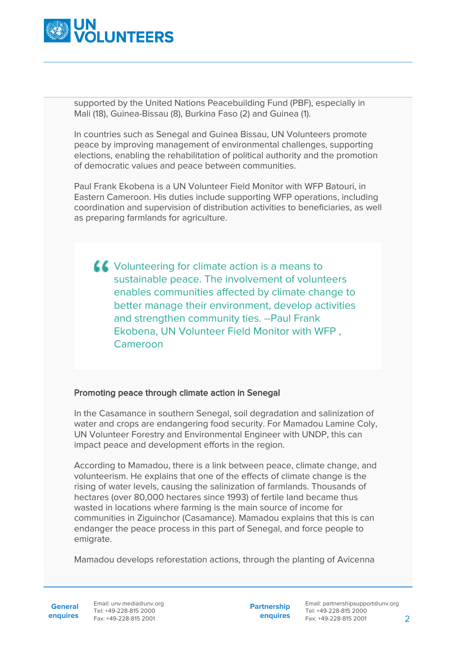

supported by the United Nations Peacebuilding Fund (PBF), especially in Mali (18), Guinea-Bissau (8), Burkina Faso (2) and Guinea (1).

In countries such as Senegal and Guinea Bissau, UN Volunteers promote peace by improving management of environmental challenges, supporting elections, enabling the rehabilitation of political authority and the promotion of democratic values and peace between communities.

Paul Frank Ekobena is a UN Volunteer Field Monitor with WFP Batouri, in Eastern Cameroon. His duties include supporting WFP operations, including coordination and supervision of distribution activities to beneficiaries, as well as preparing farmlands for agriculture.

K Volunteering for climate action is a means to sustainable peace. The involvement of volunteers enables communities affected by climate change to better manage their environment, develop activities and strengthen community ties. --Paul Frank Ekobena, UN Volunteer Field Monitor with WFP , Cameroon

## Promoting peace through climate action in Senegal

In the Casamance in southern Senegal, soil degradation and salinization of water and crops are endangering food security. For Mamadou Lamine Coly, UN Volunteer Forestry and Environmental Engineer with UNDP, this can impact peace and development efforts in the region.

According to Mamadou, there is a link between peace, climate change, and volunteerism. He explains that one of the effects of climate change is the rising of water levels, causing the salinization of farmlands. Thousands of hectares (over 80,000 hectares since 1993) of fertile land became thus wasted in locations where farming is the main source of income for communities in Ziguinchor (Casamance). Mamadou explains that this is can endanger the peace process in this part of Senegal, and force people to emigrate.

Mamadou develops reforestation actions, through the planting of Avicenna

**enquires** Tel: +49-228-815 2000 Fax: +49-228-815 2001 Email: unv.media@unv.org<br>Tel: +49-228-815.2000

**Partnership enquires**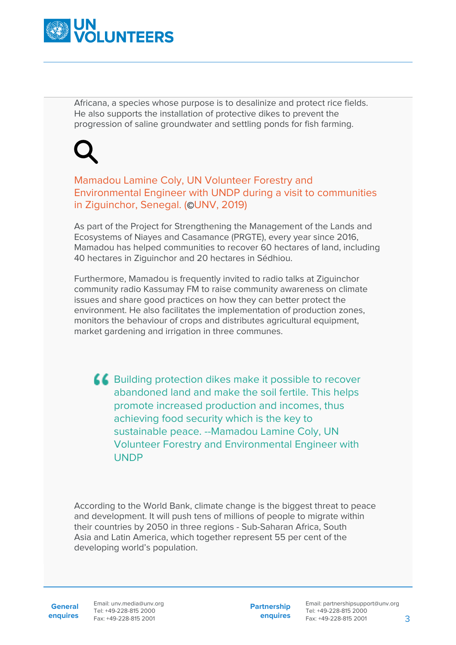

Africana, a species whose purpose is to desalinize and protect rice fields. He also supports the installation of protective dikes to prevent the progression of saline groundwater and settling ponds for fish farming.

Mamadou Lamine Coly, UN Volunteer Forestry and Environmental Engineer with UNDP during a visit to communities in Ziguinchor, Senegal. (©UNV, 2019)

As part of the Project for Strengthening the Management of the Lands and Ecosystems of Niayes and Casamance (PRGTE), every year since 2016, Mamadou has helped communities to recover 60 hectares of land, including 40 hectares in Ziguinchor and 20 hectares in Sédhiou.

Furthermore, Mamadou is frequently invited to radio talks at Ziguinchor community radio Kassumay FM to raise community awareness on climate issues and share good practices on how they can better protect the environment. He also facilitates the implementation of production zones, monitors the behaviour of crops and distributes agricultural equipment, market gardening and irrigation in three communes.

**A Building protection dikes make it possible to recover** abandoned land and make the soil fertile. This helps promote increased production and incomes, thus achieving food security which is the key to sustainable peace. --Mamadou Lamine Coly, UN Volunteer Forestry and Environmental Engineer with UNDP

According to the World Bank, climate change is the biggest threat to peace and development. It will push tens of millions of people to migrate within their countries by 2050 in three regions - Sub-Saharan Africa, South Asia and Latin America, which together represent 55 per cent of the developing world's population.

**General enquires** Email: unv.media@unv.org Tel: +49-228-815 2000 Fax: +49-228-815 2001

**Partnership enquires**

Email: partnershipsupport@unv.org Tel: +49-228-815 2000 Fax: +49-228-815 2001 3